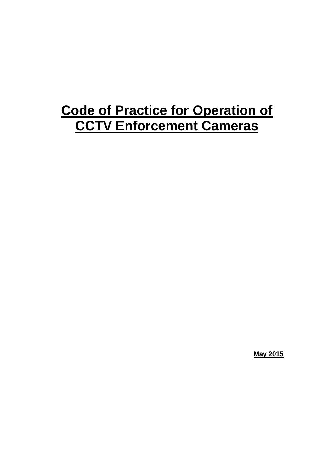# **Code of Practice for Operation of CCTV Enforcement Cameras**

**May 2015**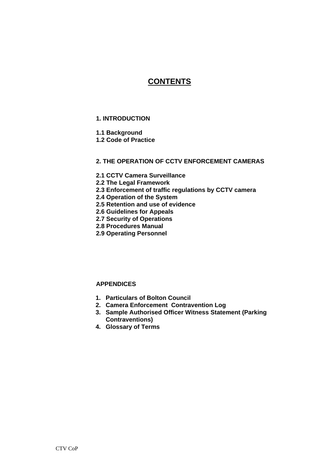### **CONTENTS**

#### **1. INTRODUCTION**

#### **1.1 Background**

**1.2 Code of Practice** 

#### **2. THE OPERATION OF CCTV ENFORCEMENT CAMERAS**

- **2.1 CCTV Camera Surveillance**
- **2.2 The Legal Framework**
- **2.3 Enforcement of traffic regulations by CCTV camera**
- **2.4 Operation of the System**
- **2.5 Retention and use of evidence**
- **2.6 Guidelines for Appeals**
- **2.7 Security of Operations**
- **2.8 Procedures Manual**
- **2.9 Operating Personnel**

#### **APPENDICES**

- **1. Particulars of Bolton Council**
- **2. Camera Enforcement Contravention Log**
- **3. Sample Authorised Officer Witness Statement (Parking Contraventions)**
- **4. Glossary of Terms**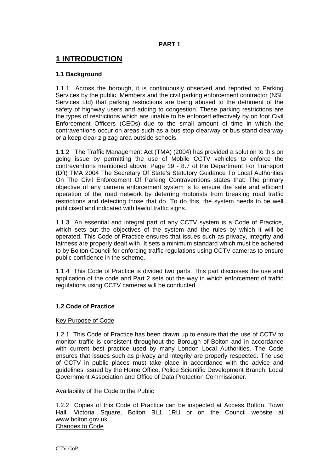#### **PART 1**

### **1 INTRODUCTION**

#### **1.1 Background**

1.1.1 Across the borough, it is continuously observed and reported to Parking Services by the public, Members and the civil parking enforcement contractor (NSL Services Ltd) that parking restrictions are being abused to the detriment of the safety of highway users and adding to congestion. These parking restrictions are the types of restrictions which are unable to be enforced effectively by on foot Civil Enforcement Officers (CEOs) due to the small amount of time in which the contraventions occur on areas such as a bus stop clearway or bus stand clearway or a keep clear zig zag area outside schools.

1.1.2 The Traffic Management Act (TMA) (2004) has provided a solution to this on going issue by permitting the use of Mobile CCTV vehicles to enforce the contraventions mentioned above. Page 19 - 8.7 of the Department For Transport (Dft) TMA 2004 The Secretary Of State's Statutory Guidance To Local Authorities On The Civil Enforcement Of Parking Contraventions states that: The primary objective of any camera enforcement system is to ensure the safe and efficient operation of the road network by deterring motorists from breaking road traffic restrictions and detecting those that do. To do this, the system needs to be well publicised and indicated with lawful traffic signs.

1.1.3 An essential and integral part of any CCTV system is a Code of Practice, which sets out the objectives of the system and the rules by which it will be operated. This Code of Practice ensures that issues such as privacy, integrity and fairness are properly dealt with. It sets a minimum standard which must be adhered to by Bolton Council for enforcing traffic regulations using CCTV cameras to ensure public confidence in the scheme.

1.1.4 This Code of Practice is divided two parts. This part discusses the use and application of the code and Part 2 sets out the way in which enforcement of traffic regulations using CCTV cameras will be conducted.

#### **1.2 Code of Practice**

#### Key Purpose of Code

1.2.1 This Code of Practice has been drawn up to ensure that the use of CCTV to monitor traffic is consistent throughout the Borough of Bolton and in accordance with current best practice used by many London Local Authorities. The Code ensures that issues such as privacy and integrity are properly respected. The use of CCTV in public places must take place in accordance with the advice and guidelines issued by the Home Office, Police Scientific Development Branch, Local Government Association and Office of Data Protection Commissioner.

#### Availability of the Code to the Public

1.2.2 Copies of this Code of Practice can be inspected at Access Bolton, Town Hall, Victoria Square, Bolton BL1 1RU or on the Council website at www.bolton.gov.uk Changes to Code

CTV CoP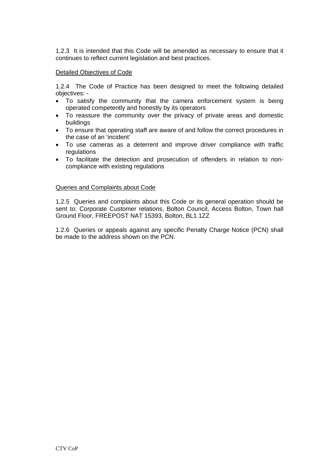1.2.3 It is intended that this Code will be amended as necessary to ensure that it continues to reflect current legislation and best practices.

#### Detailed Objectives of Code

1.2.4 The Code of Practice has been designed to meet the following detailed objectives: -

- To satisfy the community that the camera enforcement system is being operated competently and honestly by its operators
- To reassure the community over the privacy of private areas and domestic buildings
- To ensure that operating staff are aware of and follow the correct procedures in the case of an 'incident'
- To use cameras as a deterrent and improve driver compliance with traffic regulations
- To facilitate the detection and prosecution of offenders in relation to noncompliance with existing regulations

#### Queries and Complaints about Code

1.2.5 Queries and complaints about this Code or its general operation should be sent to: Corporate Customer relations, Bolton Council, Access Bolton, Town hall Ground Floor, FREEPOST NAT 15393, Bolton, BL1 1ZZ

1.2.6 Queries or appeals against any specific Penalty Charge Notice (PCN) shall be made to the address shown on the PCN.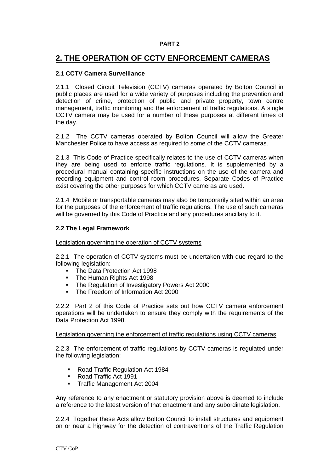#### **PART 2**

### **2. THE OPERATION OF CCTV ENFORCEMENT CAMERAS**

#### **2.1 CCTV Camera Surveillance**

2.1.1 Closed Circuit Television (CCTV) cameras operated by Bolton Council in public places are used for a wide variety of purposes including the prevention and detection of crime, protection of public and private property, town centre management, traffic monitoring and the enforcement of traffic regulations. A single CCTV camera may be used for a number of these purposes at different times of the day.

2.1.2 The CCTV cameras operated by Bolton Council will allow the Greater Manchester Police to have access as required to some of the CCTV cameras.

2.1.3 This Code of Practice specifically relates to the use of CCTV cameras when they are being used to enforce traffic regulations. It is supplemented by a procedural manual containing specific instructions on the use of the camera and recording equipment and control room procedures. Separate Codes of Practice exist covering the other purposes for which CCTV cameras are used.

2.1.4 Mobile or transportable cameras may also be temporarily sited within an area for the purposes of the enforcement of traffic regulations. The use of such cameras will be governed by this Code of Practice and any procedures ancillary to it.

#### **2.2 The Legal Framework**

Legislation governing the operation of CCTV systems

2.2.1 The operation of CCTV systems must be undertaken with due regard to the following legislation:

- The Data Protection Act 1998
- The Human Rights Act 1998
- The Regulation of Investigatory Powers Act 2000
- The Freedom of Information Act 2000

2.2.2 Part 2 of this Code of Practice sets out how CCTV camera enforcement operations will be undertaken to ensure they comply with the requirements of the Data Protection Act 1998.

#### Legislation governing the enforcement of traffic regulations using CCTV cameras

2.2.3 The enforcement of traffic regulations by CCTV cameras is regulated under the following legislation:

- Road Traffic Regulation Act 1984
- Road Traffic Act 1991
- **Traffic Management Act 2004**

Any reference to any enactment or statutory provision above is deemed to include a reference to the latest version of that enactment and any subordinate legislation.

2.2.4 Together these Acts allow Bolton Council to install structures and equipment on or near a highway for the detection of contraventions of the Traffic Regulation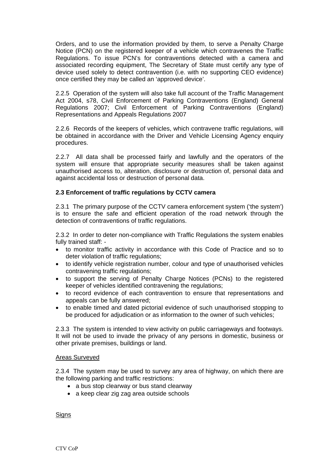Orders, and to use the information provided by them, to serve a Penalty Charge Notice (PCN) on the registered keeper of a vehicle which contravenes the Traffic Regulations. To issue PCN's for contraventions detected with a camera and associated recording equipment, The Secretary of State must certify any type of device used solely to detect contravention (i.e. with no supporting CEO evidence) once certified they may be called an 'approved device'.

2.2.5 Operation of the system will also take full account of the Traffic Management Act 2004, s78, Civil Enforcement of Parking Contraventions (England) General Regulations 2007; Civil Enforcement of Parking Contraventions (England) Representations and Appeals Regulations 2007

2.2.6 Records of the keepers of vehicles, which contravene traffic regulations, will be obtained in accordance with the Driver and Vehicle Licensing Agency enquiry procedures.

2.2.7 All data shall be processed fairly and lawfully and the operators of the system will ensure that appropriate security measures shall be taken against unauthorised access to, alteration, disclosure or destruction of, personal data and against accidental loss or destruction of personal data.

#### **2.3 Enforcement of traffic regulations by CCTV camera**

2.3.1 The primary purpose of the CCTV camera enforcement system ('the system') is to ensure the safe and efficient operation of the road network through the detection of contraventions of traffic regulations.

2.3.2 In order to deter non-compliance with Traffic Regulations the system enables fully trained staff: -

- to monitor traffic activity in accordance with this Code of Practice and so to deter violation of traffic regulations;
- to identify vehicle registration number, colour and type of unauthorised vehicles contravening traffic regulations;
- to support the serving of Penalty Charge Notices (PCNs) to the registered keeper of vehicles identified contravening the regulations;
- to record evidence of each contravention to ensure that representations and appeals can be fully answered;
- to enable timed and dated pictorial evidence of such unauthorised stopping to be produced for adjudication or as information to the owner of such vehicles;

2.3.3 The system is intended to view activity on public carriageways and footways. It will not be used to invade the privacy of any persons in domestic, business or other private premises, buildings or land.

#### Areas Surveyed

2.3.4 The system may be used to survey any area of highway, on which there are the following parking and traffic restrictions:

- a bus stop clearway or bus stand clearway
- a keep clear zig zag area outside schools

**Signs**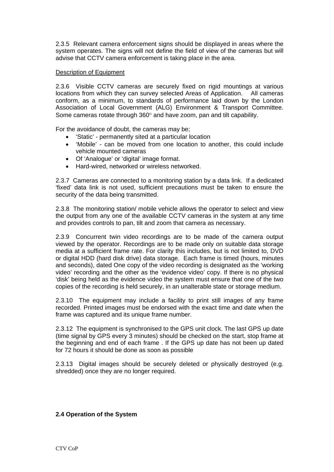2.3.5 Relevant camera enforcement signs should be displayed in areas where the system operates. The signs will not define the field of view of the cameras but will advise that CCTV camera enforcement is taking place in the area.

#### Description of Equipment

2.3.6 Visible CCTV cameras are securely fixed on rigid mountings at various locations from which they can survey selected Areas of Application. All cameras conform, as a minimum, to standards of performance laid down by the London Association of Local Government (ALG) Environment & Transport Committee. Some cameras rotate through  $360^{\circ}$  and have zoom, pan and tilt capability.

For the avoidance of doubt, the cameras may be;

- 'Static' permanently sited at a particular location
- 'Mobile' can be moved from one location to another, this could include vehicle mounted cameras
- Of 'Analogue' or 'digital' image format.
- Hard-wired, networked or wireless networked.

2.3.7 Cameras are connected to a monitoring station by a data link. If a dedicated 'fixed' data link is not used, sufficient precautions must be taken to ensure the security of the data being transmitted.

2.3.8 The monitoring station/ mobile vehicle allows the operator to select and view the output from any one of the available CCTV cameras in the system at any time and provides controls to pan, tilt and zoom that camera as necessary.

2.3.9 Concurrent twin video recordings are to be made of the camera output viewed by the operator. Recordings are to be made only on suitable data storage media at a sufficient frame rate. For clarity this includes, but is not limited to, DVD or digital HDD (hard disk drive) data storage. Each frame is timed (hours, minutes and seconds), dated One copy of the video recording is designated as the 'working video' recording and the other as the 'evidence video' copy. If there is no physical 'disk' being held as the evidence video the system must ensure that one of the two copies of the recording is held securely, in an unalterable state or storage medium.

2.3.10 The equipment may include a facility to print still images of any frame recorded. Printed images must be endorsed with the exact time and date when the frame was captured and its unique frame number.

2.3.12 The equipment is synchronised to the GPS unit clock. The last GPS up date (time signal by GPS every 3 minutes) should be checked on the start, stop frame at the beginning and end of each frame . If the GPS up date has not been up dated for 72 hours it should be done as soon as possible

2.3.13 Digital images should be securely deleted or physically destroyed (e.g. shredded) once they are no longer required.

#### **2.4 Operation of the System**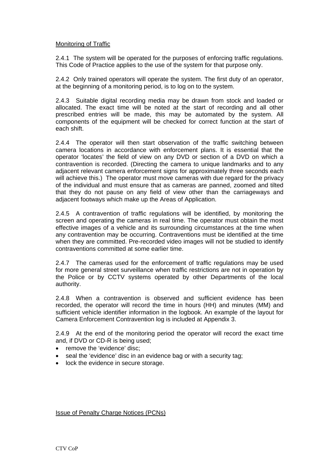#### Monitoring of Traffic

2.4.1 The system will be operated for the purposes of enforcing traffic regulations. This Code of Practice applies to the use of the system for that purpose only.

2.4.2 Only trained operators will operate the system. The first duty of an operator, at the beginning of a monitoring period, is to log on to the system.

2.4.3 Suitable digital recording media may be drawn from stock and loaded or allocated. The exact time will be noted at the start of recording and all other prescribed entries will be made, this may be automated by the system. All components of the equipment will be checked for correct function at the start of each shift.

2.4.4 The operator will then start observation of the traffic switching between camera locations in accordance with enforcement plans. It is essential that the operator 'locates' the field of view on any DVD or section of a DVD on which a contravention is recorded. (Directing the camera to unique landmarks and to any adjacent relevant camera enforcement signs for approximately three seconds each will achieve this.) The operator must move cameras with due regard for the privacy of the individual and must ensure that as cameras are panned, zoomed and tilted that they do not pause on any field of view other than the carriageways and adjacent footways which make up the Areas of Application.

2.4.5 A contravention of traffic regulations will be identified, by monitoring the screen and operating the cameras in real time. The operator must obtain the most effective images of a vehicle and its surrounding circumstances at the time when any contravention may be occurring. Contraventions must be identified at the time when they are committed. Pre-recorded video images will not be studied to identify contraventions committed at some earlier time.

2.4.7 The cameras used for the enforcement of traffic regulations may be used for more general street surveillance when traffic restrictions are not in operation by the Police or by CCTV systems operated by other Departments of the local authority.

2.4.8 When a contravention is observed and sufficient evidence has been recorded, the operator will record the time in hours (HH) and minutes (MM) and sufficient vehicle identifier information in the logbook. An example of the layout for Camera Enforcement Contravention log is included at Appendix 3.

2.4.9 At the end of the monitoring period the operator will record the exact time and, if DVD or CD-R is being used;

- remove the 'evidence' disc;
- seal the 'evidence' disc in an evidence bag or with a security tag;
- lock the evidence in secure storage.

Issue of Penalty Charge Notices (PCNs)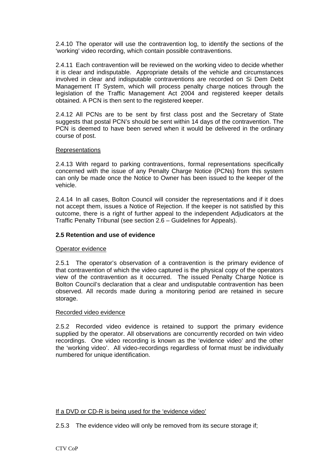2.4.10 The operator will use the contravention log, to identify the sections of the 'working' video recording, which contain possible contraventions.

2.4.11 Each contravention will be reviewed on the working video to decide whether it is clear and indisputable. Appropriate details of the vehicle and circumstances involved in clear and indisputable contraventions are recorded on Si Dem Debt Management IT System, which will process penalty charge notices through the legislation of the Traffic Management Act 2004 and registered keeper details obtained. A PCN is then sent to the registered keeper.

2.4.12 All PCNs are to be sent by first class post and the Secretary of State suggests that postal PCN's should be sent within 14 days of the contravention. The PCN is deemed to have been served when it would be delivered in the ordinary course of post.

#### **Representations**

2.4.13 With regard to parking contraventions, formal representations specifically concerned with the issue of any Penalty Charge Notice (PCNs) from this system can only be made once the Notice to Owner has been issued to the keeper of the vehicle.

2.4.14 In all cases, Bolton Council will consider the representations and if it does not accept them, issues a Notice of Rejection. If the keeper is not satisfied by this outcome, there is a right of further appeal to the independent Adjudicators at the Traffic Penalty Tribunal (see section 2.6 – Guidelines for Appeals).

#### **2.5 Retention and use of evidence**

#### Operator evidence

2.5.1 The operator's observation of a contravention is the primary evidence of that contravention of which the video captured is the physical copy of the operators view of the contravention as it occurred. The issued Penalty Charge Notice is Bolton Council's declaration that a clear and undisputable contravention has been observed. All records made during a monitoring period are retained in secure storage.

#### Recorded video evidence

2.5.2 Recorded video evidence is retained to support the primary evidence supplied by the operator. All observations are concurrently recorded on twin video recordings. One video recording is known as the 'evidence video' and the other the 'working video'. All video-recordings regardless of format must be individually numbered for unique identification.

#### If a DVD or CD-R is being used for the 'evidence video'

2.5.3 The evidence video will only be removed from its secure storage if;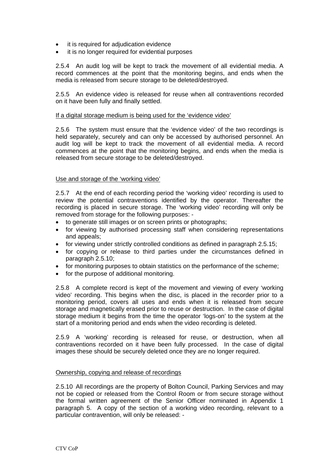- it is required for adjudication evidence
- it is no longer required for evidential purposes

2.5.4 An audit log will be kept to track the movement of all evidential media. A record commences at the point that the monitoring begins, and ends when the media is released from secure storage to be deleted/destroyed.

2.5.5 An evidence video is released for reuse when all contraventions recorded on it have been fully and finally settled.

#### If a digital storage medium is being used for the 'evidence video'

2.5.6 The system must ensure that the 'evidence video' of the two recordings is held separately, securely and can only be accessed by authorised personnel. An audit log will be kept to track the movement of all evidential media. A record commences at the point that the monitoring begins, and ends when the media is released from secure storage to be deleted/destroyed.

#### Use and storage of the 'working video'

2.5.7 At the end of each recording period the 'working video' recording is used to review the potential contraventions identified by the operator. Thereafter the recording is placed in secure storage. The 'working video' recording will only be removed from storage for the following purposes: -

- to generate still images or on screen prints or photographs;
- for viewing by authorised processing staff when considering representations and appeals;
- for viewing under strictly controlled conditions as defined in paragraph 2.5.15;
- for copying or release to third parties under the circumstances defined in paragraph 2.5.10;
- for monitoring purposes to obtain statistics on the performance of the scheme;
- for the purpose of additional monitoring.

2.5.8 A complete record is kept of the movement and viewing of every 'working video' recording. This begins when the disc, is placed in the recorder prior to a monitoring period, covers all uses and ends when it is released from secure storage and magnetically erased prior to reuse or destruction. In the case of digital storage medium it begins from the time the operator 'logs-on' to the system at the start of a monitoring period and ends when the video recording is deleted.

2.5.9 A 'working' recording is released for reuse, or destruction, when all contraventions recorded on it have been fully processed. In the case of digital images these should be securely deleted once they are no longer required.

#### Ownership, copying and release of recordings

2.5.10 All recordings are the property of Bolton Council, Parking Services and may not be copied or released from the Control Room or from secure storage without the formal written agreement of the Senior Officer nominated in Appendix 1 paragraph 5. A copy of the section of a working video recording, relevant to a particular contravention, will only be released: -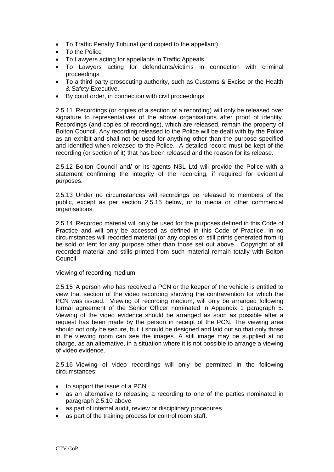- To Traffic Penalty Tribunal (and copied to the appellant)
- To the Police
- To Lawyers acting for appellants in Traffic Appeals
- To Lawyers acting for defendants/victims in connection with criminal proceedings
- To a third party prosecuting authority, such as Customs & Excise or the Health & Safety Executive.
- By court order, in connection with civil proceedings

2.5.11 Recordings (or copies of a section of a recording) will only be released over signature to representatives of the above organisations after proof of identity. Recordings (and copies of recordings), which are released, remain the property of Bolton Council. Any recording released to the Police will be dealt with by the Police as an exhibit and shall not be used for anything other than the purpose specified and identified when released to the Police. A detailed record must be kept of the recording (or section of it) that has been released and the reason for its release.

2.5.12 Bolton Council and/ or its agents NSL Ltd will provide the Police with a statement confirming the integrity of the recording, if required for evidential purposes.

2.5.13 Under no circumstances will recordings be released to members of the public, except as per section 2.5.15 below, or to media or other commercial organisations.

2.5.14 Recorded material will only be used for the purposes defined in this Code of Practice and will only be accessed as defined in this Code of Practice. In no circumstances will recorded material (or any copies or still prints generated from it) be sold or lent for any purpose other than those set out above. Copyright of all recorded material and stills printed from such material remain totally with Bolton Council

#### Viewing of recording medium

2.5.15 A person who has received a PCN or the keeper of the vehicle is entitled to view that section of the video recording showing the contravention for which the PCN was issued. Viewing of recording medium, will only be arranged following formal agreement of the Senior Officer nominated in Appendix 1 paragraph 5. Viewing of the video evidence should be arranged as soon as possible after a request has been made by the person in receipt of the PCN. The viewing area should not only be secure, but it should be designed and laid out so that only those in the viewing room can see the images. A still image may be supplied at no charge, as an alternative, in a situation where it is not possible to arrange a viewing of video evidence.

2.5.16 Viewing of video recordings will only be permitted in the following circumstances:

- to support the issue of a PCN
- as an alternative to releasing a recording to one of the parties nominated in paragraph 2.5.10 above
- as part of internal audit, review or disciplinary procedures
- as part of the training process for control room staff.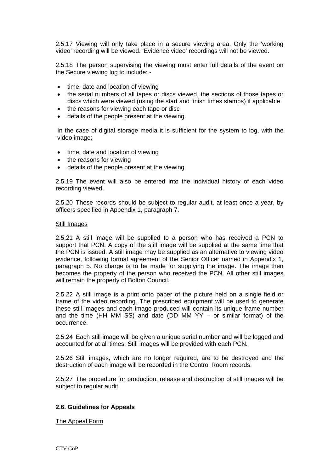2.5.17 Viewing will only take place in a secure viewing area. Only the 'working video' recording will be viewed. 'Evidence video' recordings will not be viewed.

2.5.18 The person supervising the viewing must enter full details of the event on the Secure viewing log to include: -

- $\bullet$  time, date and location of viewing
- the serial numbers of all tapes or discs viewed, the sections of those tapes or discs which were viewed (using the start and finish times stamps) if applicable.
- the reasons for viewing each tape or disc
- details of the people present at the viewing.

In the case of digital storage media it is sufficient for the system to log, with the video image;

- time, date and location of viewing
- the reasons for viewing
- details of the people present at the viewing.

2.5.19 The event will also be entered into the individual history of each video recording viewed.

2.5.20 These records should be subject to regular audit, at least once a year, by officers specified in Appendix 1, paragraph 7.

#### Still Images

2.5.21 A still image will be supplied to a person who has received a PCN to support that PCN. A copy of the still image will be supplied at the same time that the PCN is issued. A still image may be supplied as an alternative to viewing video evidence, following formal agreement of the Senior Officer named in Appendix 1, paragraph 5. No charge is to be made for supplying the image. The image then becomes the property of the person who received the PCN. All other still images will remain the property of Bolton Council.

2.5.22 A still image is a print onto paper of the picture held on a single field or frame of the video recording. The prescribed equipment will be used to generate these still images and each image produced will contain its unique frame number and the time (HH MM SS) and date (DD MM YY – or similar format) of the occurrence.

2.5.24 Each still image will be given a unique serial number and will be logged and accounted for at all times. Still images will be provided with each PCN.

2.5.26 Still images, which are no longer required, are to be destroyed and the destruction of each image will be recorded in the Control Room records.

2.5.27 The procedure for production, release and destruction of still images will be subject to regular audit.

#### **2.6. Guidelines for Appeals**

The Appeal Form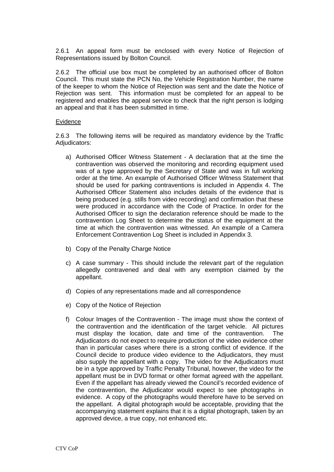2.6.1 An appeal form must be enclosed with every Notice of Rejection of Representations issued by Bolton Council.

2.6.2 The official use box must be completed by an authorised officer of Bolton Council. This must state the PCN No, the Vehicle Registration Number, the name of the keeper to whom the Notice of Rejection was sent and the date the Notice of Rejection was sent. This information must be completed for an appeal to be registered and enables the appeal service to check that the right person is lodging an appeal and that it has been submitted in time.

#### Evidence

2.6.3 The following items will be required as mandatory evidence by the Traffic Adiudicators:

- a) Authorised Officer Witness Statement A declaration that at the time the contravention was observed the monitoring and recording equipment used was of a type approved by the Secretary of State and was in full working order at the time. An example of Authorised Officer Witness Statement that should be used for parking contraventions is included in Appendix 4. The Authorised Officer Statement also includes details of the evidence that is being produced (e.g. stills from video recording) and confirmation that these were produced in accordance with the Code of Practice. In order for the Authorised Officer to sign the declaration reference should be made to the contravention Log Sheet to determine the status of the equipment at the time at which the contravention was witnessed. An example of a Camera Enforcement Contravention Log Sheet is included in Appendix 3.
- b) Copy of the Penalty Charge Notice
- c) A case summary This should include the relevant part of the regulation allegedly contravened and deal with any exemption claimed by the appellant.
- d) Copies of any representations made and all correspondence
- e) Copy of the Notice of Rejection
- f) Colour Images of the Contravention The image must show the context of the contravention and the identification of the target vehicle. All pictures must display the location, date and time of the contravention. The Adjudicators do not expect to require production of the video evidence other than in particular cases where there is a strong conflict of evidence. If the Council decide to produce video evidence to the Adjudicators, they must also supply the appellant with a copy. The video for the Adjudicators must be in a type approved by Traffic Penalty Tribunal, however, the video for the appellant must be in DVD format or other format agreed with the appellant. Even if the appellant has already viewed the Council's recorded evidence of the contravention, the Adjudicator would expect to see photographs in evidence. A copy of the photographs would therefore have to be served on the appellant. A digital photograph would be acceptable, providing that the accompanying statement explains that it is a digital photograph, taken by an approved device, a true copy, not enhanced etc.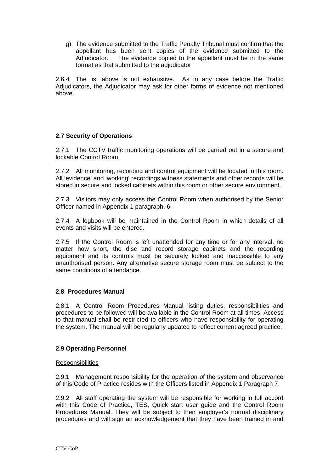g) The evidence submitted to the Traffic Penalty Tribunal must confirm that the appellant has been sent copies of the evidence submitted to the Adjudicator. The evidence copied to the appellant must be in the same format as that submitted to the adjudicator

2.6.4 The list above is not exhaustive. As in any case before the Traffic Adjudicators, the Adjudicator may ask for other forms of evidence not mentioned above.

#### **2.7 Security of Operations**

2.7.1 The CCTV traffic monitoring operations will be carried out in a secure and lockable Control Room.

2.7.2 All monitoring, recording and control equipment will be located in this room. All 'evidence' and 'working' recordings witness statements and other records will be stored in secure and locked cabinets within this room or other secure environment.

2.7.3 Visitors may only access the Control Room when authorised by the Senior Officer named in Appendix 1 paragraph. 6.

2.7.4 A logbook will be maintained in the Control Room in which details of all events and visits will be entered.

2.7.5 If the Control Room is left unattended for any time or for any interval, no matter how short, the disc and record storage cabinets and the recording equipment and its controls must be securely locked and inaccessible to any unauthorised person. Any alternative secure storage room must be subject to the same conditions of attendance.

#### **2.8 Procedures Manual**

2.8.1 A Control Room Procedures Manual listing duties, responsibilities and procedures to be followed will be available in the Control Room at all times. Access to that manual shall be restricted to officers who have responsibility for operating the system. The manual will be regularly updated to reflect current agreed practice.

#### **2.9 Operating Personnel**

#### **Responsibilities**

2.9.1 Management responsibility for the operation of the system and observance of this Code of Practice resides with the Officers listed in Appendix 1 Paragraph 7.

2.9.2 All staff operating the system will be responsible for working in full accord with this Code of Practice, TES, Quick start user guide and the Control Room Procedures Manual. They will be subject to their employer's normal disciplinary procedures and will sign an acknowledgement that they have been trained in and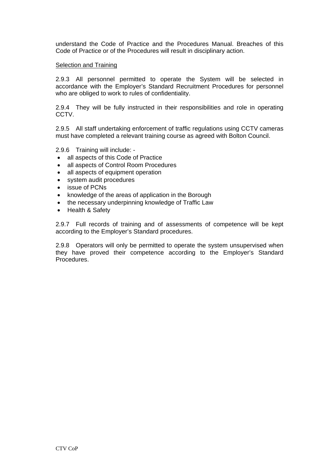understand the Code of Practice and the Procedures Manual. Breaches of this Code of Practice or of the Procedures will result in disciplinary action.

#### Selection and Training

2.9.3 All personnel permitted to operate the System will be selected in accordance with the Employer's Standard Recruitment Procedures for personnel who are obliged to work to rules of confidentiality.

2.9.4 They will be fully instructed in their responsibilities and role in operating CCTV.

2.9.5 All staff undertaking enforcement of traffic regulations using CCTV cameras must have completed a relevant training course as agreed with Bolton Council.

2.9.6 Training will include: -

- all aspects of this Code of Practice
- all aspects of Control Room Procedures
- all aspects of equipment operation
- system audit procedures
- issue of PCNs
- knowledge of the areas of application in the Borough
- the necessary underpinning knowledge of Traffic Law
- Health & Safety

2.9.7 Full records of training and of assessments of competence will be kept according to the Employer's Standard procedures.

2.9.8 Operators will only be permitted to operate the system unsupervised when they have proved their competence according to the Employer's Standard Procedures.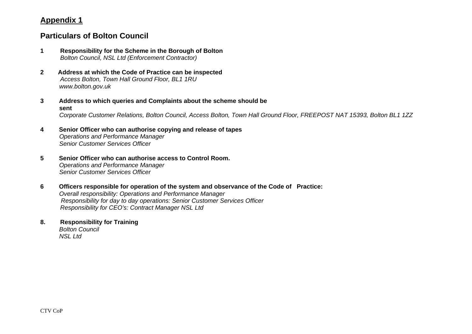### **Appendix 1**

### **Particulars of Bolton Council**

- **1 Responsibility for the Scheme in the Borough of Bolton**  *Bolton Council, NSL Ltd (Enforcement Contractor)*
- **2 Address at which the Code of Practice can be inspected**  *Access Bolton, Town Hall Ground Floor, BL1 1RU www.bolton.gov.uk*
- **3 Address to which queries and Complaints about the scheme should be sent**  *Corporate Customer Relations, Bolton Council, Access Bolton, Town Hall Ground Floor, FREEPOST NAT 15393, Bolton BL1 1ZZ*
- **4 Senior Officer who can authorise copying and release of tapes**   *Operations and Performance Manager Senior Customer Services Officer*
- **5 Senior Officer who can authorise access to Control Room.** *Operations and Performance Manager Senior Customer Services Officer*
- **6 Officers responsible for operation of the system and observance of the Code of Practice:**  *Overall responsibility: Operations and Performance Manager Responsibility for day to day operations: Senior Customer Services Officer Responsibility for CEO's: Contract Manager NSL Ltd*
- **8. Responsibility for Training**  *Bolton Council NSL Ltd*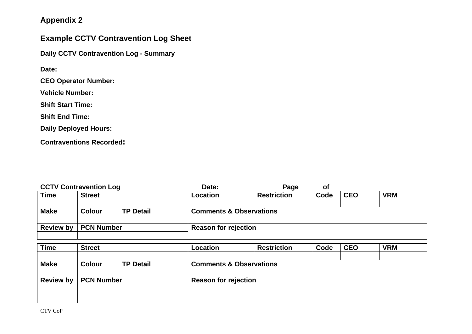# **Appendix 2**

# **Example CCTV Contravention Log Sheet**

**Daily CCTV Contravention Log - Summary** 

**Date:** 

**CEO Operator Number:** 

**Vehicle Number:** 

**Shift Start Time:** 

**Shift End Time:** 

**Daily Deployed Hours:** 

**Contraventions Recorded:** 

| <b>CCTV Contravention Log</b> |                   |                  | Date:                              | Page                        | 0f   |            |            |  |
|-------------------------------|-------------------|------------------|------------------------------------|-----------------------------|------|------------|------------|--|
| <b>Time</b>                   | <b>Street</b>     |                  | <b>Location</b>                    | <b>Restriction</b>          | Code | <b>CEO</b> | <b>VRM</b> |  |
|                               |                   |                  |                                    |                             |      |            |            |  |
| <b>Make</b>                   | Colour            | <b>TP Detail</b> | <b>Comments &amp; Observations</b> |                             |      |            |            |  |
|                               |                   |                  |                                    |                             |      |            |            |  |
| <b>Review by</b>              | <b>PCN Number</b> |                  |                                    | <b>Reason for rejection</b> |      |            |            |  |
|                               |                   |                  |                                    |                             |      |            |            |  |

| <b>VRM</b>                         |  |  |  |  |
|------------------------------------|--|--|--|--|
|                                    |  |  |  |  |
| <b>Comments &amp; Observations</b> |  |  |  |  |
|                                    |  |  |  |  |
| <b>Reason for rejection</b>        |  |  |  |  |
|                                    |  |  |  |  |
|                                    |  |  |  |  |
|                                    |  |  |  |  |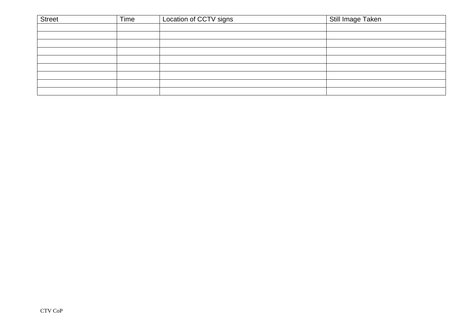| <b>Street</b> | Time | Location of CCTV signs | Still Image Taken |
|---------------|------|------------------------|-------------------|
|               |      |                        |                   |
|               |      |                        |                   |
|               |      |                        |                   |
|               |      |                        |                   |
|               |      |                        |                   |
|               |      |                        |                   |
|               |      |                        |                   |
|               |      |                        |                   |
|               |      |                        |                   |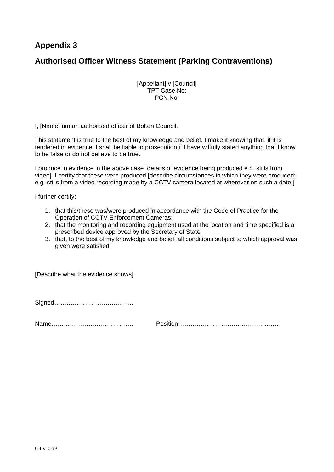### **Appendix 3**

### **Authorised Officer Witness Statement (Parking Contraventions)**

[Appellant] v [Council] TPT Case No: PCN No:

I, [Name] am an authorised officer of Bolton Council.

This statement is true to the best of my knowledge and belief. I make it knowing that, if it is tendered in evidence, I shall be liable to prosecution if I have wilfully stated anything that I know to be false or do not believe to be true.

I produce in evidence in the above case [details of evidence being produced e.g. stills from video]. I certify that these were produced [describe circumstances in which they were produced: e.g. stills from a video recording made by a CCTV camera located at wherever on such a date.]

I further certify:

- 1. that this/these was/were produced in accordance with the Code of Practice for the Operation of CCTV Enforcement Cameras;
- 2. that the monitoring and recording equipment used at the location and time specified is a prescribed device approved by the Secretary of State
- 3. that, to the best of my knowledge and belief, all conditions subject to which approval was given were satisfied.

[Describe what the evidence shows]

Signed………………………………...

Name…………………………………. Position………………………………………….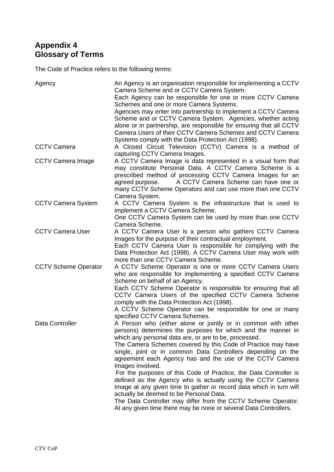## **Appendix 4 Glossary of Terms**

The Code of Practice refers to the following terms:

| Agency                      | An Agency is an organisation responsible for implementing a CCTV<br>Camera Scheme and or CCTV Camera System.<br>Each Agency can be responsible for one or more CCTV Camera<br>Schemes and one or more Camera Systems.<br>Agencies may enter into partnership to implement a CCTV Camera<br>Scheme and or CCTV Camera System. Agencies, whether acting<br>alone or in partnership, are responsible for ensuring that all CCTV<br>Camera Users of their CCTV Camera Schemes and CCTV Camera<br>Systems comply with the Data Protection Act (1998).                                                                                                                                                                                                                                                  |
|-----------------------------|---------------------------------------------------------------------------------------------------------------------------------------------------------------------------------------------------------------------------------------------------------------------------------------------------------------------------------------------------------------------------------------------------------------------------------------------------------------------------------------------------------------------------------------------------------------------------------------------------------------------------------------------------------------------------------------------------------------------------------------------------------------------------------------------------|
| <b>CCTV Camera</b>          | A Closed Circuit Television (CCTV) Camera is a method of<br>capturing CCTV Camera Images.                                                                                                                                                                                                                                                                                                                                                                                                                                                                                                                                                                                                                                                                                                         |
| <b>CCTV Camera Image</b>    | A CCTV Camera Image is data represented in a visual form that<br>may constitute Personal Data. A CCTV Camera Scheme is a<br>prescribed method of processing CCTV Camera Images for an<br>A CCTV Camera Scheme can have one or<br>agreed purpose.<br>many CCTV Scheme Operators and can use more than one CCTV<br>Camera System.                                                                                                                                                                                                                                                                                                                                                                                                                                                                   |
| <b>CCTV Camera System</b>   | A CCTV Camera System is the infrastructure that is used to<br>implement a CCTV Camera Scheme.<br>One CCTV Camera System can be used by more than one CCTV<br>Camera Scheme.                                                                                                                                                                                                                                                                                                                                                                                                                                                                                                                                                                                                                       |
| <b>CCTV Camera User</b>     | A CCTV Camera User is a person who gathers CCTV Camera<br>Images for the purpose of their contractual employment.<br>Each CCTV Camera User is responsible for complying with the<br>Data Protection Act (1998). A CCTV Camera User may work with<br>more than one CCTV Camera Scheme.                                                                                                                                                                                                                                                                                                                                                                                                                                                                                                             |
| <b>CCTV Scheme Operator</b> | A CCTV Scheme Operator is one or more CCTV Camera Users<br>who are responsible for implementing a specified CCTV Camera<br>Scheme on behalf of an Agency.<br>Each CCTV Scheme Operator is responsible for ensuring that all<br>CCTV Camera Users of the specified CCTV Camera Scheme<br>comply with the Data Protection Act (1998).<br>A CCTV Scheme Operator can be responsible for one or many<br>specified CCTV Camera Schemes.                                                                                                                                                                                                                                                                                                                                                                |
| Data Controller             | A Person who (either alone or jointly or in common with other<br>persons) determines the purposes for which and the manner in<br>which any personal data are, or are to be, processed.<br>The Camera Schemes covered by this Code of Practice may have<br>single, joint or in common Data Controllers depending on the<br>agreement each Agency has and the use of the CCTV Camera<br>Images involved.<br>For the purposes of this Code of Practice, the Data Controller is<br>defined as the Agency who is actually using the CCTV Camera<br>Image at any given time to gather or record data which in turn will<br>actually be deemed to be Personal Data.<br>The Data Controller may differ from the CCTV Scheme Operator.<br>At any given time there may be none or several Data Controllers. |